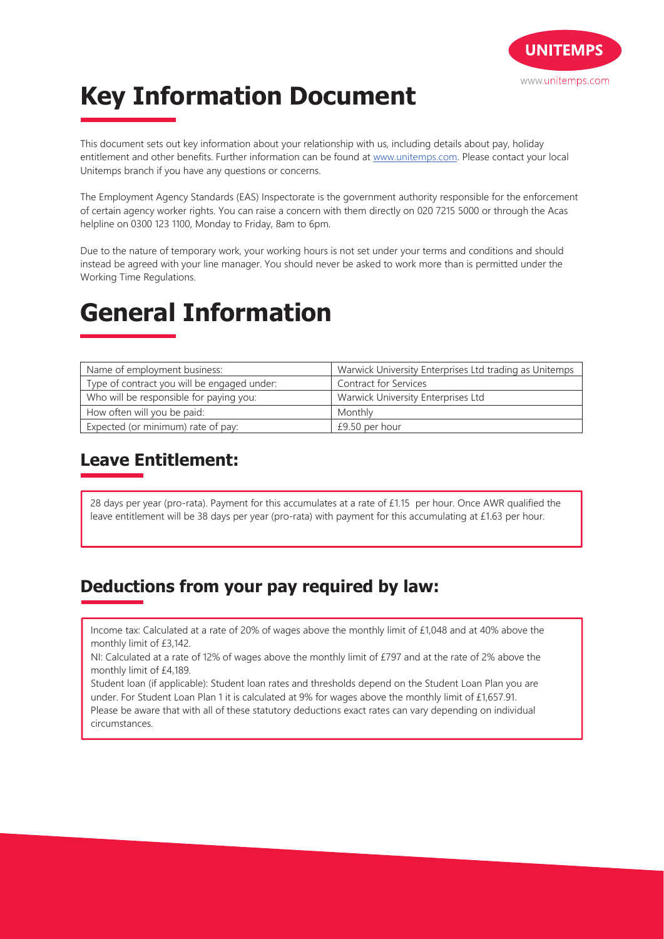

# **Key Information Document**

This document sets out key information about your relationship with us, including details about pay, holiday entitlement and other benefits. Further information can be found at www.unitemps.com. Please contact your local Unitemps branch if you have any questions or concerns.

The Employment Agency Standards (EAS) Inspectorate is the government authority responsible for the enforcement of certain agency worker rights. You can raise a concern with them directly on 020 7215 5000 or through the Acas helpline on 0300 123 1100, Monday to Friday, 8am to 6pm.

Due to the nature of temporary work, your working hours is not set under your terms and conditions and should instead be agreed with your line manager. You should never be asked to work more than is permitted under the Working Time Regulations.

## **General Information**

| Name of employment business:                | Warwick University Enterprises Ltd trading as Unitemps |
|---------------------------------------------|--------------------------------------------------------|
| Type of contract you will be engaged under: | Contract for Services                                  |
| Who will be responsible for paying you:     | Warwick University Enterprises Ltd                     |
| How often will you be paid:                 | Monthly                                                |
| Expected (or minimum) rate of pay:          | £9.50 per hour                                         |

### **Leave Entitlement:**

28 days per year (pro-rata). Payment for this accumulates at a rate of £1.15 per hour. Once AWR qualified the leave entitlement will be 38 days per year (pro-rata) with payment for this accumulating at £1.63 per hour.

### **Deductions from your pay required by law:**

Income tax: Calculated at a rate of 20% of wages above the monthly limit of £1,048 and at 40% above the monthly limit of £3,142.

NI: Calculated at a rate of 12% of wages above the monthly limit of £797 and at the rate of 2% above the monthly limit of £4,189.

Student loan (if applicable): Student loan rates and thresholds depend on the Student Loan Plan you are under. For Student Loan Plan 1 it is calculated at 9% for wages above the monthly limit of £1,657.91.

Please be aware that with all of these statutory deductions exact rates can vary depending on individual circumstances.